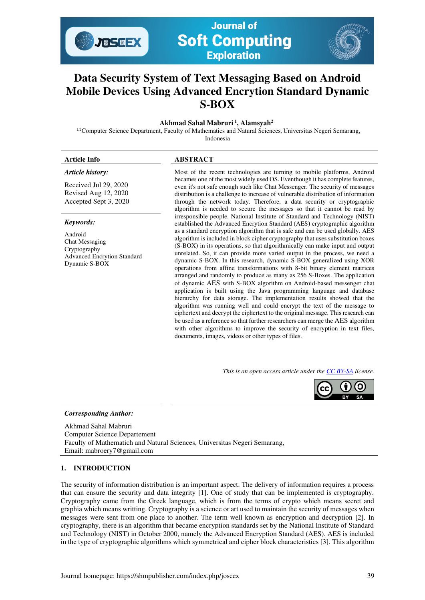

**Journal of Soft Computing Exploration** 

# **Data Security System of Text Messaging Based on Android Mobile Devices Using Advanced Encrytion Standard Dynamic S-BOX**

 **Akhmad Sahal Mabruri<sup>1</sup>, Alamsyah<sup>2</sup>**

<sup>1,2</sup>Computer Science Department, Faculty of Mathematics and Natural Sciences, Universitas Negeri Semarang,

Indonesia

# **Article Info ABSTRACT**

# *Article history:*

Received Jul 29, 2020 Revised Aug 12, 2020 Accepted Sept 3, 2020

#### *Keywords:*

Android Chat Messaging Cryptography Advanced Encrytion Standard Dynamic S-BOX

Most of the recent technologies are turning to mobile platforms, Android becames one of the most widely used OS. Eventhough it has complete features, even it's not safe enough such like Chat Messenger. The security of messages distribution is a challenge to increase of vulnerable distribution of information through the network today. Therefore, a data security or cryptographic algorithm is needed to secure the messages so that it cannot be read by irresponsible people. National Institute of Standard and Technology (NIST) established the Advanced Encrytion Standard (AES**)** cryptographic algorithm as a standard encryption algorithm that is safe and can be used globally. AES algorithm is included in block cipher cryptography that uses substitution boxes (S-BOX) in its operations, so that algorithmically can make input and output unrelated. So, it can provide more varied output in the process, we need a dynamic S-BOX. In this research, dynamic S-BOX generalized using XOR operations from affine transformations with 8-bit binary element matrices arranged and randomly to produce as many as 256 S-Boxes. The application of dynamic AES with S-BOX algorithm on Android-based messenger chat application is built using the Java programming language and database hierarchy for data storage. The implementation results showed that the algorithm was running well and could encrypt the text of the message to ciphertext and decrypt the ciphertext to the original message. This research can be used as a reference so that further researchers can merge the AES algorithm with other algorithms to improve the security of encryption in text files, documents, images, videos or other types of files.

*This is an open access article under th[e CC BY-SA](https://creativecommons.org/licenses/by-sa/4.0/) license.* 



#### *Corresponding Author:*

Akhmad Sahal Mabruri Computer Science Departement Faculty of Mathematich and Natural Sciences, Universitas Negeri Semarang, Email: mabroery7@gmail.com

# **1. INTRODUCTION**

The security of information distribution is an important aspect. The delivery of information requires a process that can ensure the security and data integrity [1]. One of study that can be implemented is cryptography. Cryptography came from the Greek language, which is from the terms of crypto which means secret and graphia which means writting. Cryptography is a science or art used to maintain the security of messages when messages were sent from one place to another. The term well known as encryption and decryption [2]. In cryptography, there is an algorithm that became encryption standards set by the National Institute of Standard and Technology (NIST) in October 2000, namely the Advanced Encryption Standard (AES). AES is included in the type of cryptographic algorithms which symmetrical and cipher block characteristics [3]. This algorithm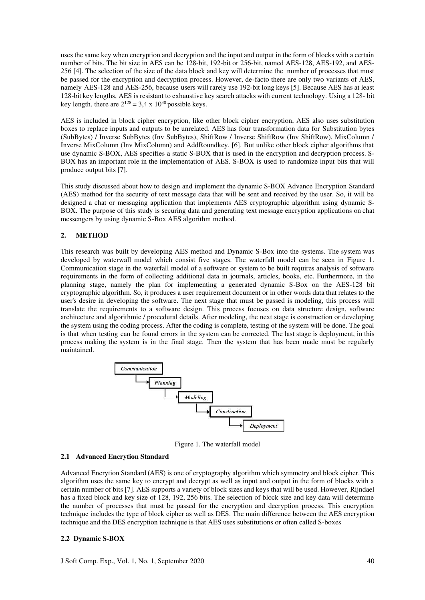uses the same key when encryption and decryption and the input and output in the form of blocks with a certain number of bits. The bit size in AES can be 128-bit, 192-bit or 256-bit, named AES-128, AES-192, and AES-256 [4]. The selection of the size of the data block and key will determine the number of processes that must be passed for the encryption and decryption process. However, de-facto there are only two variants of AES, namely AES-128 and AES-256, because users will rarely use 192-bit long keys [5]. Because AES has at least 128-bit key lengths, AES is resistant to exhaustive key search attacks with current technology. Using a 128- bit key length, there are  $2^{128} = 3.4 \times 10^{38}$  possible keys.

AES is included in block cipher encryption, like other block cipher encryption, AES also uses substitution boxes to replace inputs and outputs to be unrelated. AES has four transformation data for Substitution bytes (SubBytes) / Inverse SubBytes (Inv SubBytes), ShiftRow / Inverse ShiftRow (Inv ShiftRow), MixColumn / Inverse MixColumn (Inv MixColumn) and AddRoundkey. [6]. But unlike other block cipher algorithms that use dynamic S-BOX, AES specifies a static S-BOX that is used in the encryption and decryption process. S-BOX has an important role in the implementation of AES. S-BOX is used to randomize input bits that will produce output bits [7].

This study discussed about how to design and implement the dynamic S-BOX Advance Encryption Standard (AES) method for the security of text message data that will be sent and received by the user. So, it will be designed a chat or messaging application that implements AES cryptographic algorithm using dynamic S-BOX. The purpose of this study is securing data and generating text message encryption applications on chat messengers by using dynamic S-Box AES algorithm method.

# **2. METHOD**

This research was built by developing AES method and Dynamic S-Box into the systems. The system was developed by waterwall model which consist five stages. The waterfall model can be seen in Figure 1. Communication stage in the waterfall model of a software or system to be built requires analysis of software requirements in the form of collecting additional data in journals, articles, books, etc. Furthermore, in the planning stage, namely the plan for implementing a generated dynamic S-Box on the AES-128 bit cryptographic algorithm. So, it produces a user requirement document or in other words data that relates to the user's desire in developing the software. The next stage that must be passed is modeling, this process will translate the requirements to a software design. This process focuses on data structure design, software architecture and algorithmic / procedural details. After modeling, the next stage is construction or developing the system using the coding process. After the coding is complete, testing of the system will be done. The goal is that when testing can be found errors in the system can be corrected. The last stage is deployment, in this process making the system is in the final stage. Then the system that has been made must be regularly maintained.



Figure 1. The waterfall model

#### **2.1 Advanced Encrytion Standard**

Advanced Encrytion Standard **(**AES) is one of cryptography algorithm which symmetry and block cipher. This algorithm uses the same key to encrypt and decrypt as well as input and output in the form of blocks with a certain number of bits [7]. AES supports a variety of block sizes and keys that will be used. However, Rijndael has a fixed block and key size of 128, 192, 256 bits. The selection of block size and key data will determine the number of processes that must be passed for the encryption and decryption process. This encryption technique includes the type of block cipher as well as DES. The main difference between the AES encryption technique and the DES encryption technique is that AES uses substitutions or often called S-boxes

#### **2.2 Dynamic S-BOX**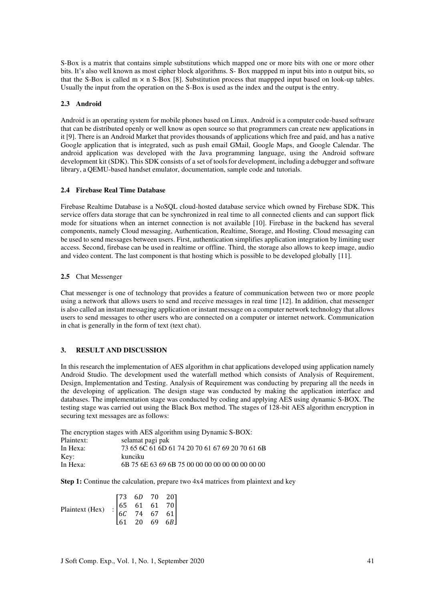S-Box is a matrix that contains simple substitutions which mapped one or more bits with one or more other bits. It's also well known as most cipher block algorithms. S- Box mappped m input bits into n output bits, so that the S-Box is called  $m \times n$  S-Box [8]. Substitution process that mappped input based on look-up tables. Usually the input from the operation on the S-Box is used as the index and the output is the entry.

#### **2.3 Android**

Android is an operating system for mobile phones based on Linux. Android is a computer code-based software that can be distributed openly or well know as open source so that programmers can create new applications in it [9]. There is an Android Market that provides thousands of applications which free and paid, and has a native Google application that is integrated, such as push email GMail, Google Maps, and Google Calendar. The android application was developed with the Java programming language, using the Android software development kit (SDK). This SDK consists of a set of tools for development, including a debugger and software library, a QEMU-based handset emulator, documentation, sample code and tutorials.

#### **2.4 Firebase Real Time Database**

Firebase Realtime Database is a NoSQL cloud-hosted database service which owned by Firebase SDK. This service offers data storage that can be synchronized in real time to all connected clients and can support flick mode for situations when an internet connection is not available [10]. Firebase in the backend has several components, namely Cloud messaging, Authentication, Realtime, Storage, and Hosting. Cloud messaging can be used to send messages between users. First, authentication simplifies application integration by limiting user access. Second, firebase can be used in realtime or offline. Third, the storage also allows to keep image, audio and video content. The last component is that hosting which is possible to be developed globally [11].

### **2.5** Chat Messenger

Chat messenger is one of technology that provides a feature of communication between two or more people using a network that allows users to send and receive messages in real time [12]. In addition, chat messenger is also called an instant messaging application or instant message on a computer network technology that allows users to send messages to other users who are connected on a computer or internet network. Communication in chat is generally in the form of text (text chat).

# **3. RESULT AND DISCUSSION**

In this research the implementation of AES algorithm in chat applications developed using application namely Android Studio. The development used the waterfall method which consists of Analysis of Requirement, Design, Implementation and Testing. Analysis of Requirement was conducting by preparing all the needs in the developing of application. The design stage was conducted by making the application interface and databases. The implementation stage was conducted by coding and applying AES using dynamic S-BOX. The testing stage was carried out using the Black Box method. The stages of 128-bit AES algorithm encryption in securing text messages are as follows:

The encryption stages with AES algorithm using Dynamic S-BOX:

| Plaintext: | selamat pagi pak                                   |
|------------|----------------------------------------------------|
| In Hexa:   | 73 65 6C 61 6D 61 74 20 70 61 67 69 20 70 61 6B    |
| Key:       | kunciku                                            |
| In Hexa:   | 6B 75 6E 63 69 6B 75 00 00 00 00 00 00 00 00 00 00 |

**Step 1:** Continue the calculation, prepare two 4x4 matrices from plaintext and key

| Plaintext (Hex) $\begin{bmatrix} 73 & 6D & 70 & 20 \\ 65 & 61 & 61 & 70 \\ 6C & 74 & 67 & 61 \\ 61 & 20 & 69 & 6B \end{bmatrix}$ |  |  |
|----------------------------------------------------------------------------------------------------------------------------------|--|--|
|                                                                                                                                  |  |  |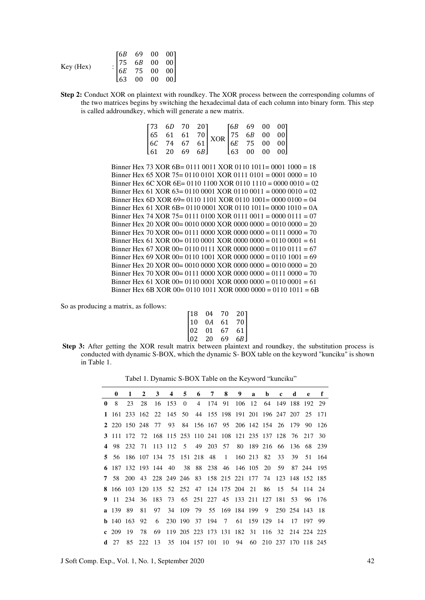| $: \begin{bmatrix} 6B & 69 & 00 & 00 \\ 75 & 6B & 00 & 00 \\ 6E & 75 & 00 & 00 \\ 63 & 00 & 00 & 00 \end{bmatrix}$ | Key (Hex) |  |  |
|--------------------------------------------------------------------------------------------------------------------|-----------|--|--|
|                                                                                                                    |           |  |  |

**Step 2:** Conduct XOR on plaintext with roundkey. The XOR process between the corresponding columns of the two matrices begins by switching the hexadecimal data of each column into binary form. This step is called addroundkey, which will generate a new matrix.

|  |  | $\begin{bmatrix} 73 & 6D & 70 & 20 \\ 65 & 61 & 61 & 70 \\ 6C & 74 & 67 & 61 \\ 61 & 20 & 69 & 6B \end{bmatrix} \text{XOR} \begin{bmatrix} 6B & 69 & 00 & 00 \\ 75 & 6B & 00 & 00 \\ 6E & 75 & 00 & 00 \\ 63 & 00 & 00 & 00 \end{bmatrix}$ |  |  |
|--|--|--------------------------------------------------------------------------------------------------------------------------------------------------------------------------------------------------------------------------------------------|--|--|
|  |  |                                                                                                                                                                                                                                            |  |  |

Binner Hex 73 XOR 6B= 0111 0011 XOR 0110 1011= 0001 1000 = 18 Binner Hex 65 XOR 75= 0110 0101 XOR 0111 0101 = 0001 0000 = 10 Binner Hex 6C XOR 6E= 0110 1100 XOR 0110 1110 = 0000 0010 = 02 Binner Hex 61 XOR 63= 0110 0001 XOR 0110 0011 = 0000 0010 = 02 Binner Hex 6D XOR 69= 0110 1101 XOR 0110 1001= 0000 0100 = 04 Binner Hex 61 XOR 6B= 0110 0001 XOR 0110 1011= 0000 1010 = 0A Binner Hex 74 XOR 75= 0111 0100 XOR 0111 0011 = 0000 0111 = 07 Binner Hex 20 XOR 00= 0010 0000 XOR 0000 0000 = 0010 0000 = 20 Binner Hex 70 XOR 00= 0111 0000 XOR 0000 0000 = 0111 0000 = 70 Binner Hex 61 XOR 00= 0110 0001 XOR 0000 0000 = 0110 0001 = 61 Binner Hex 67 XOR 00= 0110 0111 XOR 0000 0000 = 0110 0111 = 67 Binner Hex 69 XOR 00= 0110 1001 XOR 0000 0000 = 0110 1001 = 69 Binner Hex 20 XOR 00= 0010 0000 XOR 0000 0000 = 0010 0000 = 20 Binner Hex 70 XOR 00= 0111 0000 XOR 0000 0000 = 0111 0000 = 70 Binner Hex 61 XOR 00= 0110 0001 XOR 0000 0000 = 0110 0001 = 61 Binner Hex 6B XOR 00= 0110 1011 XOR 0000 0000 = 0110 1011 = 6B

So as producing a matrix, as follows:

| $\lceil 18 \rceil$ | 04 | 70 | 201 |
|--------------------|----|----|-----|
| 10                 | 0A | 61 | 70  |
| 02                 | 01 | 67 | 61  |
| 102                | 20 | 69 | 6B  |

**Step 3:** After getting the XOR result matrix between plaintext and roundkey, the substitution process is conducted with dynamic S-BOX, which the dynamic S- BOX table on the keyword "kunciku" is shown in Table 1.

Tabel 1. Dynamic S-BOX Table on the Keyword "kunciku"

|              | 0                | 1  | $2^{\circ}$ | $\mathbf{3}$ | $\overline{4}$ | 5 6 7 8 |  |                                                                | 9a | b | $\mathbf{c}$ | d  | e  | f.  |
|--------------|------------------|----|-------------|--------------|----------------|---------|--|----------------------------------------------------------------|----|---|--------------|----|----|-----|
| $\mathbf{0}$ | 8                | 23 | 28          |              |                |         |  | 16 153 0 4 174 91 106 12 64 149 188 192 29                     |    |   |              |    |    |     |
|              |                  |    |             |              |                |         |  | 1 161 233 162 22 145 50 44 155 198 191 201 196 247 207 25 171  |    |   |              |    |    |     |
|              |                  |    |             |              |                |         |  | 2 220 150 248 77 93 84 156 167 95 206 142 154 26 179 90 126    |    |   |              |    |    |     |
|              |                  |    |             |              |                |         |  | 3 111 172 72 168 115 253 110 241 108 121 235 137 128 76 217 30 |    |   |              |    |    |     |
|              | 4 98             |    |             |              |                |         |  | 232 71 113 112 5 49 203 57 80 189 216 66 136 68 239            |    |   |              |    |    |     |
|              | 5 56             |    |             |              |                |         |  | 186 107 134 75 151 218 48 1 160 213 82 33                      |    |   |              | 39 | 51 | 164 |
|              |                  |    |             |              |                |         |  | 6 187 132 193 144 40 38 88 238 46 146 105 20 59 87 244 195     |    |   |              |    |    |     |
|              |                  |    |             |              |                |         |  | 7 58 200 43 228 249 246 83 158 215 221 177 74 123 148 152 185  |    |   |              |    |    |     |
|              |                  |    |             |              |                |         |  | 8 166 103 120 135 52 252 47 124 175 204 21 86 15 54 114 24     |    |   |              |    |    |     |
|              |                  |    |             |              |                |         |  | 9 11 234 36 183 73 65 251 227 45 133 211 127 181 53 96 176     |    |   |              |    |    |     |
|              | a 139 89         |    | 81          |              |                |         |  | 97 34 109 79 55 169 184 199 9 250 254 143 18                   |    |   |              |    |    |     |
|              | <b>b</b> 140 163 |    | 92          |              |                |         |  | 6 230 190 37 194 7 61 159 129 14 17 197 99                     |    |   |              |    |    |     |
|              | c $209$ 19       |    | 78          | 69           |                |         |  | 119 205 223 173 131 182 31 116 32 214 224 225                  |    |   |              |    |    |     |
| d            | 27               | 85 | 222         | -13          |                |         |  | 35 104 157 101 10 94 60 210 237 170 118 245                    |    |   |              |    |    |     |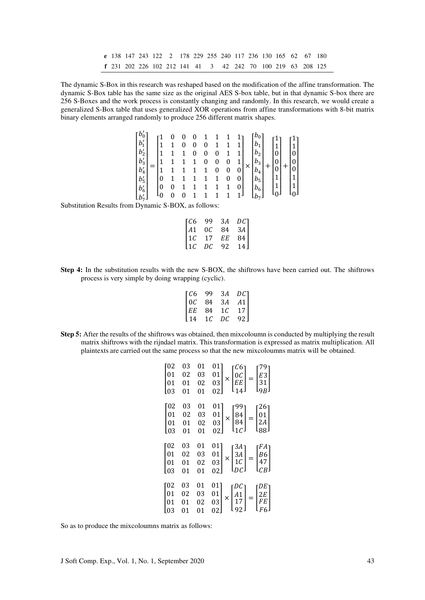**e** 138 147 243 122 2 178 229 255 240 117 236 130 165 62 67 180 **f** 231 202 226 102 212 141 41 3 42 242 70 100 219 63 208 125

The dynamic S-Box in this research was reshaped based on the modification of the affine transformation. The dynamic S-Box table has the same size as the original AES S-box table, but in that dynamic S-box there are 256 S-Boxes and the work process is constantly changing and randomly. In this research, we would create a generalized S-Box table that uses generalized XOR operations from affine transformations with 8-bit matrix binary elements arranged randomly to produce 256 different matrix shapes.

| $\lceil b'_0 \rceil$<br>$ b_1 $<br>$\left  \overline{b_2} \right $<br>$\vert b'_3 \vert$ | 1             |  | U | 0<br>0<br>0 | 0<br>0 | 0      |                     | $b_1$<br>$b_2$ !<br>$b_3$                        | $\mathbf{1}$<br> 0 <br>0 | $\begin{bmatrix} 1 \ 1 \ 0 \ 0 \ 0 \end{bmatrix}$ |  |
|------------------------------------------------------------------------------------------|---------------|--|---|-------------|--------|--------|---------------------|--------------------------------------------------|--------------------------|---------------------------------------------------|--|
| $\lfloor b_4' \rfloor$<br>$ b'_5 $<br>$ b'_6 $<br>$\lfloor b_7 \rfloor$                  | 1<br>0<br>  0 |  | 1 | 1<br>1      | 0      | 0<br>0 | 0<br>0<br>0  <br>11 | $b_4$<br>$b_5$<br>$b_6$<br>$\lfloor b_7 \rfloor$ | $1\vert$                 | 1 <br>$\begin{bmatrix} 1 \\ 0 \end{bmatrix}$      |  |
|                                                                                          |               |  |   |             |        |        |                     |                                                  |                          |                                                   |  |

Substitution Results from Dynamic S-BOX, as follows:

| 99   | 3Α                | DC <sub>1</sub> |
|------|-------------------|-----------------|
| 0C   | 84                | 3A              |
| 17   | EЕ                | 84              |
| DC   | 92                | 14              |
| I 41 | TC6<br> 1C<br>11C |                 |

**Step 4:** In the substitution results with the new S-BOX, the shiftrows have been carried out. The shiftrows process is very simple by doing wrapping (cyclic).

| TC6             | 99  | ЗA  | DC 1            |
|-----------------|-----|-----|-----------------|
| 0C              | 84  | 3A  | A1              |
| EE              | 84  | 1 C | 17 <sup>1</sup> |
| L <sub>14</sub> | 1 C | DC  | 92 J            |
|                 |     |     |                 |

**Step 5:** After the results of the shiftrows was obtained, then mixcoloumn is conducted by multiplying the result matrix shiftrows with the rijndael matrix. This transformation is expressed as matrix multiplication. All plaintexts are carried out the same process so that the new mixcoloumns matrix will be obtained.

| $\begin{bmatrix} 02 \\ 01 \\ 01 \end{bmatrix}$<br>$\mathsf{I}_{03}$ | 03<br>02<br>01<br>01 | 01<br>03<br>02<br>01 | $\begin{bmatrix} 01 \\ 01 \\ 03 \\ 02 \end{bmatrix} \times \begin{bmatrix} C6 \\ 0C \\ EE \\ 14 \end{bmatrix} = \begin{bmatrix} 79 \\ E3 \\ 31 \\ 9B \end{bmatrix}$                                      |
|---------------------------------------------------------------------|----------------------|----------------------|----------------------------------------------------------------------------------------------------------------------------------------------------------------------------------------------------------|
| $\begin{bmatrix} 02 \\ 01 \\ 01 \\ 03 \end{bmatrix}$                | 03<br>02<br>01<br>01 | 01<br>03<br>02<br>01 | $\left 01\right\rangle$<br>$\begin{bmatrix} 01 \\ 01 \\ 03 \\ 02 \end{bmatrix} \times \begin{bmatrix} 99 \\ 84 \\ 84 \\ 1 \text{ } C \end{bmatrix} = \begin{bmatrix} 26 \\ 01 \\ 2A \\ 88 \end{bmatrix}$ |
| $\begin{bmatrix} 02 \\ 01 \\ 01 \\ 03 \end{bmatrix}$                | 03<br>02<br>01<br>01 | 01<br>03<br>02<br>01 | $\begin{bmatrix} 01 \\ 01 \\ 03 \\ 02 \end{bmatrix} \times \begin{bmatrix} 3A \\ 3A \\ 1C \\ DC \end{bmatrix} = \begin{bmatrix} FA \\ B6 \\ 47 \\ CB \end{bmatrix}$                                      |
| $\begin{bmatrix} 02 \\ 01 \\ 01 \end{bmatrix}$<br>Lo3               | 03<br>02<br>01<br>01 | 01<br>03<br>02<br>01 | $\begin{bmatrix} 01 \\ 01 \\ 03 \end{bmatrix}$<br>$\times \begin{bmatrix} DC \\ A1 \\ 17 \\ 92 \end{bmatrix} = \begin{bmatrix} DE \\ 2E \\ FE \\ F6 \end{bmatrix}$                                       |

So as to produce the mixcoloumns matrix as follows: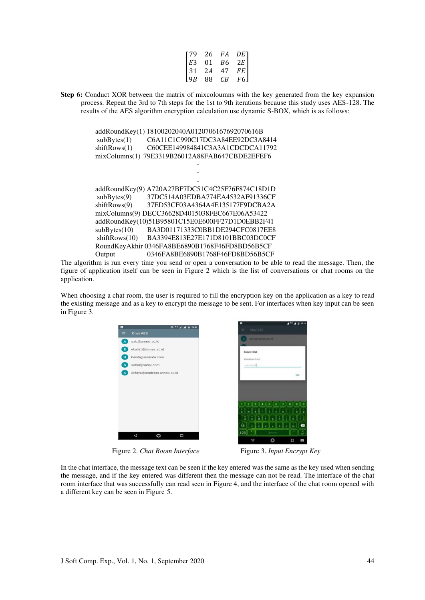| 179  | 26 | FA | DE 1 |
|------|----|----|------|
| l E3 | 01 | B6 | 2E   |
| 31   | 2A | 47 | FE   |
| 19B  | 88 | СB | F6   |
|      |    |    |      |

**Step 6:** Conduct XOR between the matrix of mixcoloumns with the key generated from the key expansion process. Repeat the 3rd to 7th steps for the 1st to 9th iterations because this study uses AES-128. The results of the AES algorithm encryption calculation use dynamic S-BOX, which is as follows:

| addRoundKey(1)<br>subBytes(1) | 18100202040A0120706167692070616B<br>C6A11C1C990C17DC3A84EE92DC3A8414 |
|-------------------------------|----------------------------------------------------------------------|
| shiftRows(1)                  | C60CEE149984841C3A3A1CDCDCA11792                                     |
| mixColumns(1)                 | 79E3319B26012A88FAB647CBDE2EFEF6                                     |
|                               |                                                                      |
|                               |                                                                      |
|                               |                                                                      |
| addRoundKey(9)                | A720A27BF7DC51C4C25F76F874C18D1D                                     |
| subBytes(9)                   | 37DC514A03EDBA774EA4532AF91336CF                                     |
| shiftRows(9)                  | 37ED53CF03A4364A4E135177F9DCBA2A                                     |
|                               | mixColumns(9) DECC36628D4015038FEC667E06A53422                       |
|                               | addRoundKey(10)51B95801C15E0E600FF27D1D0EBB2F41                      |
| subBytes(10)                  | BA3D01171333C0BB1DE294CFC0817EE8                                     |
| shiftRows(10)                 | BA3394E813E27E171D8101BBC03DC0CF                                     |
|                               | RoundKeyAkhir 0346FA8BE6890B1768F46FD8BD56B5CF                       |
| Output                        | 0346FA8BE6890B1768F46FD8BD56B5CF                                     |

The algorithm is run every time you send or open a conversation to be able to read the message. Then, the figure of application itself can be seen in Figure 2 which is the list of conversations or chat rooms on the application.

When choosing a chat room, the user is required to fill the encryption key on the application as a key to read the existing message and as a key to encrypt the message to be sent. For interfaces when key input can be seen in Figure 3.



Figure 2. *Chat Room Interface* Figure 3. *Input Encrypt Key* 

 $\bullet$ 

ī.

In the chat interface, the message text can be seen if the key entered was the same as the key used when sending the message, and if the key entered was different then the message can not be read. The interface of the chat room interface that was successfully can read seen in Figure 4, and the interface of the chat room opened with a different key can be seen in Figure 5.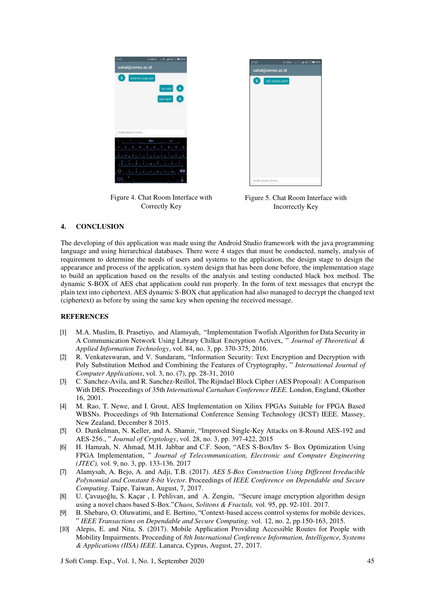

Figure 4. Chat Room Interface with Correctly Key

Figure 5. Chat Room Interface with Incorrectly Key

# **4. CONCLUSION**

The developing of this application was made using the Android Studio framework with the java programming language and using hierarchical databases. There were 4 stages that must be conducted, namely, analysis of requirement to determine the needs of users and systems to the application, the design stage to design the appearance and process of the application, system design that has been done before, the implementation stage to build an application based on the results of the analysis and testing conducted black box method. The dynamic S-BOX of AES chat application could run properly. In the form of text messages that encrypt the plain text into ciphertext. AES dynamic S-BOX chat application had also managed to decrypt the changed text (ciphertext) as before by using the same key when opening the received message.

# **REFERENCES**

- [1] M.A. Muslim, B. Prasetiyo, and Alamsyah, "Implementation Twofish Algorithm for Data Security in A Communication Network Using Library Chilkat Encryption Activex, " *Journal of Theoretical & Applied Information Technology*, vol. 84, no. 3, pp. 370-375, 2016.
- [2] R. Venkateswaran, and V. Sundaram, "Information Security: Text Encryption and Decryption with Poly Substitution Method and Combining the Features of Cryptography, " *International Journal of Computer Applications*, vol. 3, no. (7), pp. 28-31, 2010
- [3] C. Sanchez-Avila, and R. Sanchez-Reillol, The Rijndael Block Cipher (AES Proposal): A Comparison With DES. Proceedings of 35th *International Carnahan Conference IEEE.* London, England, Okotber 16, 2001.
- [4] M. Rao, T. Newe, and I. Grout, AES Implementation on Xilinx FPGAs Suitable for FPGA Based WBSNs. Proceedings of 9th International Conference Sensing Technology (ICST) IEEE. Massey, New Zealand, December 8 2015.
- [5] O. Dunkelman, N. Keller, and A. Shamir, "Improved Single-Key Attacks on 8-Round AES-192 and AES-256., " *Journal of Cryptology*, vol. 28, no. 3, pp. 397-422, 2015
- [6] H. Hamzah, N. Ahmad, M.H. Jabbar and C.F. Soon, "AES S-Box/Inv S- Box Optimization Using FPGA Implementation, " *Journal of Telecommunication, Electronic and Computer Engineering (JTEC),* vol. 9, no. 3, pp. 133-136. 2017
- [7] Alamysah, A. Bejo, A. and Adji, T.B. (2017). *AES S-Box Construction Using Different Irreducible Polynomial and Constant 8-bit Vector*. Proceedings of *IEEE Conference on Dependable and Secure Computing*. Taipe, Taiwan, August, 7, 2017.
- [8] U. Çavuşoğlu, S. Kaçar , I. Pehlivan, and A. Zengin, "Secure image encryption algorithm design using a novel chaos based S-Box."*Chaos, Solitons & Fractals,* vol. 95, pp. 92-101. 2017.
- [9] B. Shebaro, O. Oluwatimi, and E. Bertino, "Context-based access control systems for mobile devices, " *IEEE Transactions on Dependable and Secure Computing.* vol. 12, no. 2, pp.150-163, 2015.
- [10] Alepis, E. and Nita, S. (2017). Mobile Application Providing Accessible Routes for People with Mobility Impairments. Proceeding of *8th International Conference Information, Intelligence, Systems & Applications (IISA) IEEE*. Lanarca, Cyprus, August, 27, 2017.

J Soft Comp. Exp., Vol. 1, No. 1, September 2020 45